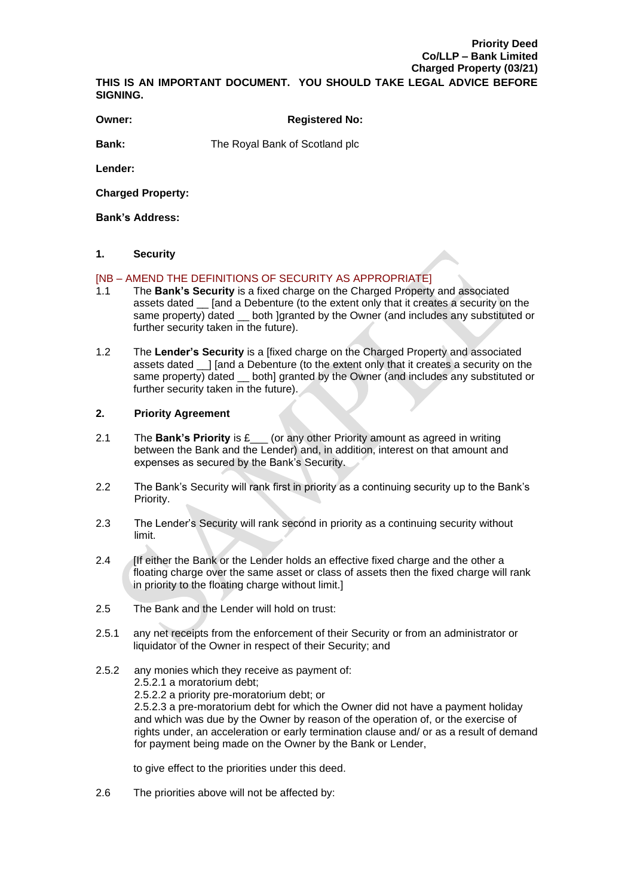# **Priority Deed Co/LLP – Bank Limited Charged Property (03/21)**

**THIS IS AN IMPORTANT DOCUMENT. YOU SHOULD TAKE LEGAL ADVICE BEFORE SIGNING.**

#### **Owner: COWNER COWNER COWNER COWNER CONSUMING REGISTER OF A REGISTER OF A REGISTER OF A REGISTER OF A REGISTER OF A REGISTER OF A REGISTER OF A REGISTER OF A REGISTER OF A REGISTER OF A REGISTER OF A REGISTER OF A REGIST**

**Bank:** The Royal Bank of Scotland plc

**Lender:**

**Charged Property:**

**Bank's Address:**

#### **1. Security**

#### [NB – AMEND THE DEFINITIONS OF SECURITY AS APPROPRIATE]

- 1.1 The **Bank's Security** is a fixed charge on the Charged Property and associated assets dated \_\_ [and a Debenture (to the extent only that it creates a security on the same property) dated \_ both ]granted by the Owner (and includes any substituted or further security taken in the future).
- 1.2 The **Lender's Security** is a [fixed charge on the Charged Property and associated assets dated \_\_] [and a Debenture (to the extent only that it creates a security on the same property) dated  $\equiv$  both] granted by the Owner (and includes any substituted or further security taken in the future).

### **2. Priority Agreement**

- 2.1 The **Bank's Priority** is £\_\_\_ (or any other Priority amount as agreed in writing between the Bank and the Lender) and, in addition, interest on that amount and expenses as secured by the Bank's Security.
- 2.2 The Bank's Security will rank first in priority as a continuing security up to the Bank's Priority.
- 2.3 The Lender's Security will rank second in priority as a continuing security without limit.
- 2.4 [If either the Bank or the Lender holds an effective fixed charge and the other a floating charge over the same asset or class of assets then the fixed charge will rank in priority to the floating charge without limit.]
- 2.5 The Bank and the Lender will hold on trust:
- 2.5.1 any net receipts from the enforcement of their Security or from an administrator or liquidator of the Owner in respect of their Security; and
- 2.5.2 any monies which they receive as payment of: 2.5.2.1 a moratorium debt; 2.5.2.2 a priority pre-moratorium debt; or 2.5.2.3 a pre-moratorium debt for which the Owner did not have a payment holiday and which was due by the Owner by reason of the operation of, or the exercise of rights under, an acceleration or early termination clause and/ or as a result of demand for payment being made on the Owner by the Bank or Lender,

to give effect to the priorities under this deed.

2.6 The priorities above will not be affected by: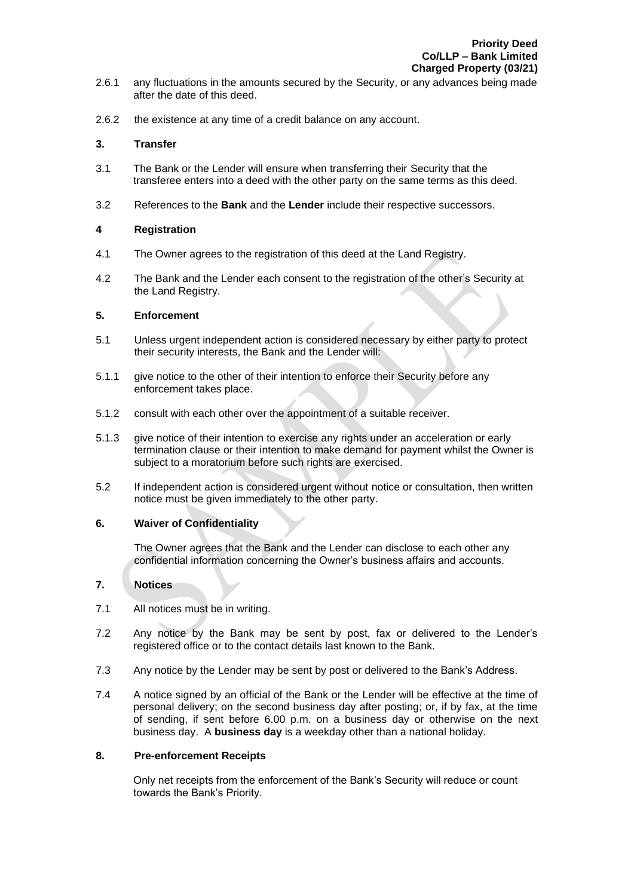- 2.6.1 any fluctuations in the amounts secured by the Security, or any advances being made after the date of this deed.
- 2.6.2 the existence at any time of a credit balance on any account.

#### **3. Transfer**

- 3.1 The Bank or the Lender will ensure when transferring their Security that the transferee enters into a deed with the other party on the same terms as this deed.
- 3.2 References to the **Bank** and the **Lender** include their respective successors.

#### **4 Registration**

- 4.1 The Owner agrees to the registration of this deed at the Land Registry.
- 4.2 The Bank and the Lender each consent to the registration of the other's Security at the Land Registry.

#### **5. Enforcement**

- 5.1 Unless urgent independent action is considered necessary by either party to protect their security interests, the Bank and the Lender will:
- 5.1.1 give notice to the other of their intention to enforce their Security before any enforcement takes place.
- 5.1.2 consult with each other over the appointment of a suitable receiver.
- 5.1.3 give notice of their intention to exercise any rights under an acceleration or early termination clause or their intention to make demand for payment whilst the Owner is subject to a moratorium before such rights are exercised.
- 5.2 If independent action is considered urgent without notice or consultation, then written notice must be given immediately to the other party.

## **6. Waiver of Confidentiality**

The Owner agrees that the Bank and the Lender can disclose to each other any confidential information concerning the Owner's business affairs and accounts.

# **7. Notices**

- 7.1 All notices must be in writing.
- 7.2 Any notice by the Bank may be sent by post, fax or delivered to the Lender's registered office or to the contact details last known to the Bank.
- 7.3 Any notice by the Lender may be sent by post or delivered to the Bank's Address.
- 7.4 A notice signed by an official of the Bank or the Lender will be effective at the time of personal delivery; on the second business day after posting; or, if by fax, at the time of sending, if sent before 6.00 p.m. on a business day or otherwise on the next business day. A **business day** is a weekday other than a national holiday.

#### **8. Pre-enforcement Receipts**

Only net receipts from the enforcement of the Bank's Security will reduce or count towards the Bank's Priority.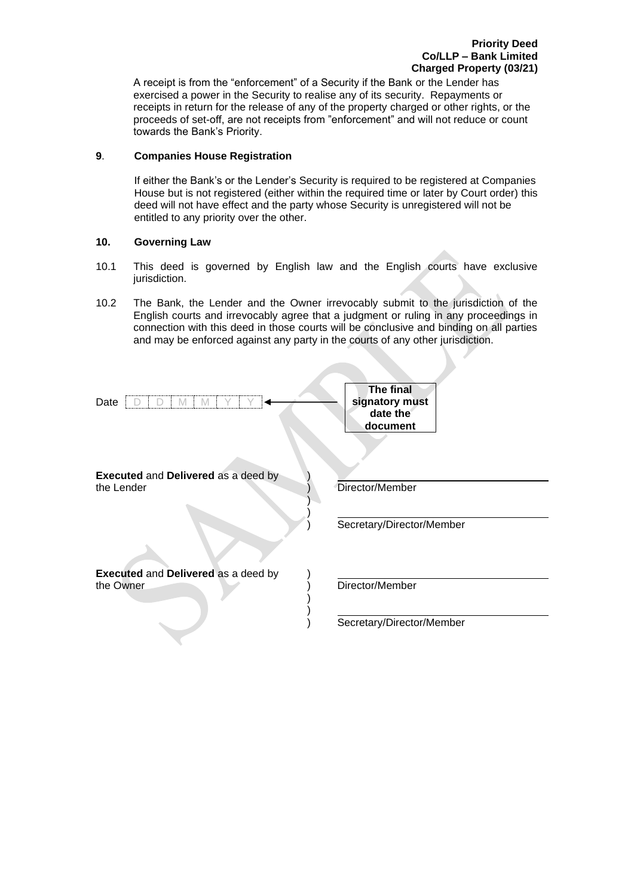A receipt is from the "enforcement" of a Security if the Bank or the Lender has exercised a power in the Security to realise any of its security. Repayments or receipts in return for the release of any of the property charged or other rights, or the proceeds of set-off, are not receipts from "enforcement" and will not reduce or count towards the Bank's Priority.

## **9**. **Companies House Registration**

If either the Bank's or the Lender's Security is required to be registered at Companies House but is not registered (either within the required time or later by Court order) this deed will not have effect and the party whose Security is unregistered will not be entitled to any priority over the other.

### **10. Governing Law**

- 10.1 This deed is governed by English law and the English courts have exclusive jurisdiction.
- 10.2 The Bank, the Lender and the Owner irrevocably submit to the jurisdiction of the English courts and irrevocably agree that a judgment or ruling in any proceedings in connection with this deed in those courts will be conclusive and binding on all parties and may be enforced against any party in the courts of any other jurisdiction.

**Contract Contract** 

| Date                                              | <b>The final</b><br>signatory must<br>date the<br>document |
|---------------------------------------------------|------------------------------------------------------------|
| Executed and Delivered as a deed by<br>the Lender | Director/Member                                            |
|                                                   | Secretary/Director/Member                                  |
| Executed and Delivered as a deed by<br>the Owner  | Director/Member                                            |
|                                                   | Secretary/Director/Member                                  |